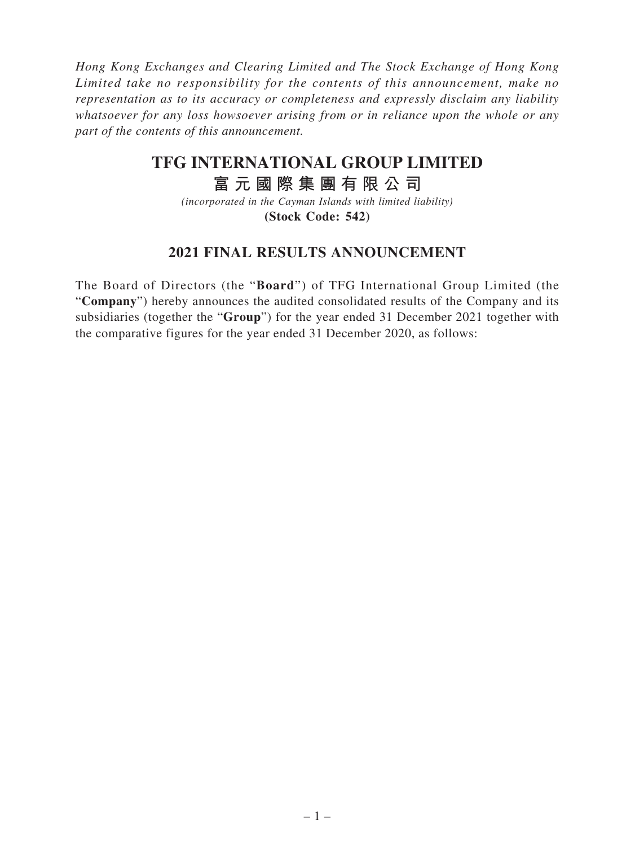*Hong Kong Exchanges and Clearing Limited and The Stock Exchange of Hong Kong Limited take no responsibility for the contents of this announcement, make no representation as to its accuracy or completeness and expressly disclaim any liability whatsoever for any loss howsoever arising from or in reliance upon the whole or any part of the contents of this announcement.*

# **TFG INTERNATIONAL GROUP LIMITED**

# **富元國際集團有限公司**

*(incorporated in the Cayman Islands with limited liability)* **(Stock Code: 542)**

# **2021 FINAL RESULTS ANNOUNCEMENT**

The Board of Directors (the "**Board**") of TFG International Group Limited (the "**Company**") hereby announces the audited consolidated results of the Company and its subsidiaries (together the "**Group**") for the year ended 31 December 2021 together with the comparative figures for the year ended 31 December 2020, as follows: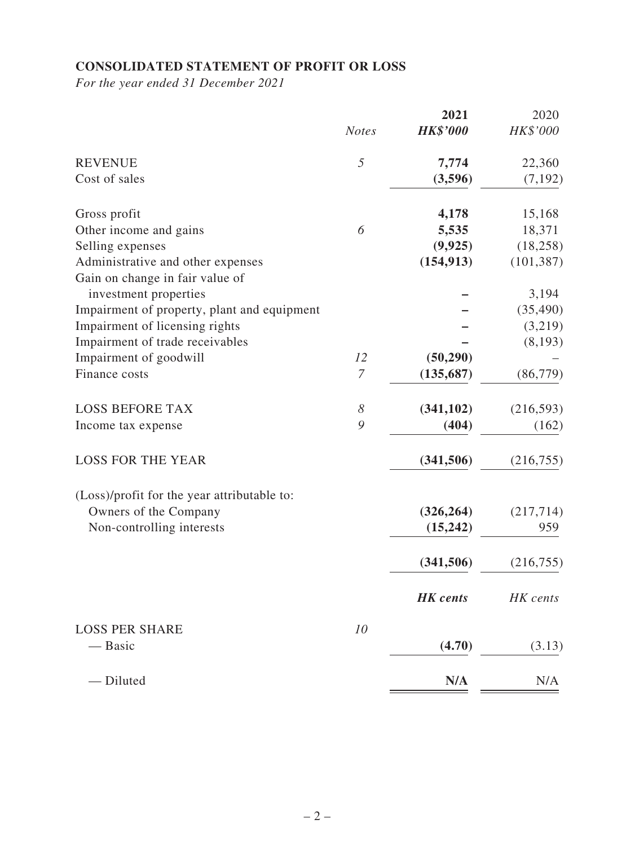# **CONSOLIDATED STATEMENT OF PROFIT OR LOSS**

*For the year ended 31 December 2021*

|                                             |                       | 2021            | 2020       |
|---------------------------------------------|-----------------------|-----------------|------------|
|                                             | <b>Notes</b>          | <b>HK\$'000</b> | HK\$'000   |
| <b>REVENUE</b>                              | 5                     | 7,774           | 22,360     |
| Cost of sales                               |                       | (3,596)         | (7, 192)   |
| Gross profit                                |                       | 4,178           | 15,168     |
| Other income and gains                      | 6                     | 5,535           | 18,371     |
| Selling expenses                            |                       | (9, 925)        | (18, 258)  |
| Administrative and other expenses           |                       | (154, 913)      | (101, 387) |
| Gain on change in fair value of             |                       |                 |            |
| investment properties                       |                       |                 | 3,194      |
| Impairment of property, plant and equipment |                       |                 | (35, 490)  |
| Impairment of licensing rights              |                       |                 | (3,219)    |
| Impairment of trade receivables             |                       |                 | (8,193)    |
| Impairment of goodwill                      | 12                    | (50, 290)       |            |
| Finance costs                               | $\overline{7}$        | (135, 687)      | (86, 779)  |
| <b>LOSS BEFORE TAX</b>                      | $\boldsymbol{\delta}$ | (341, 102)      | (216,593)  |
| Income tax expense                          | 9                     | (404)           | (162)      |
| <b>LOSS FOR THE YEAR</b>                    |                       | (341, 506)      | (216,755)  |
| (Loss)/profit for the year attributable to: |                       |                 |            |
| Owners of the Company                       |                       | (326, 264)      | (217, 714) |
| Non-controlling interests                   |                       | (15,242)        | 959        |
|                                             |                       | (341, 506)      | (216, 755) |
|                                             |                       | <b>HK</b> cents | HK cents   |
| <b>LOSS PER SHARE</b>                       | 10                    |                 |            |
| — Basic                                     |                       | (4.70)          | (3.13)     |
| - Diluted                                   |                       | N/A             | N/A        |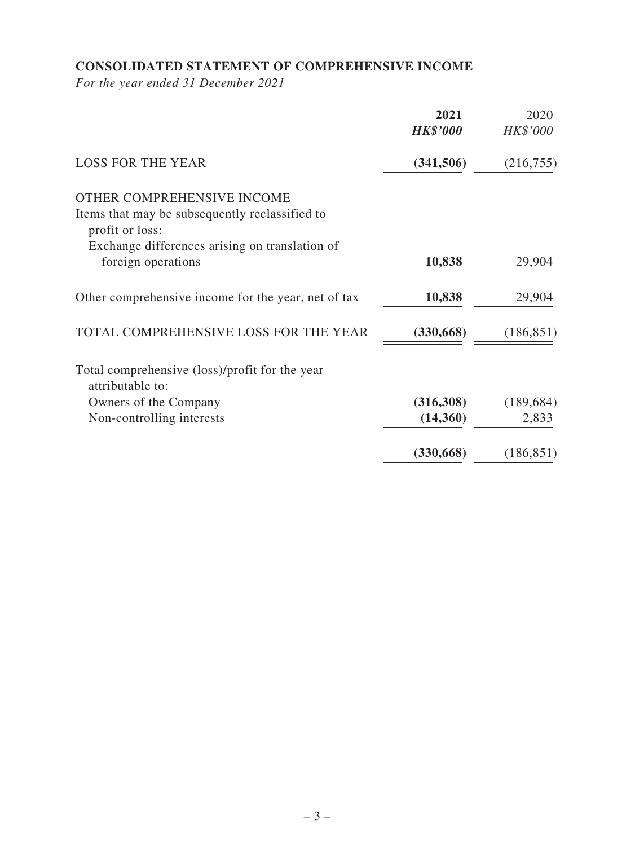# **CONSOLIDATED STATEMENT OF COMPREHENSIVE INCOME**

*For the year ended 31 December 2021*

|                                                                   | 2021<br><b>HK\$'000</b> | 2020<br>HK\$'000 |
|-------------------------------------------------------------------|-------------------------|------------------|
| <b>LOSS FOR THE YEAR</b>                                          | (341, 506)              | (216, 755)       |
| OTHER COMPREHENSIVE INCOME                                        |                         |                  |
| Items that may be subsequently reclassified to<br>profit or loss: |                         |                  |
| Exchange differences arising on translation of                    |                         |                  |
| foreign operations                                                | 10,838                  | 29,904           |
| Other comprehensive income for the year, net of tax               | 10,838                  | 29,904           |
| TOTAL COMPREHENSIVE LOSS FOR THE YEAR                             | (330, 668)              | (186, 851)       |
| Total comprehensive (loss)/profit for the year                    |                         |                  |
| attributable to:                                                  |                         |                  |
| Owners of the Company                                             | (316,308)               | (189, 684)       |
| Non-controlling interests                                         | (14,360)                | 2,833            |
|                                                                   | (330, 668)              | (186, 851)       |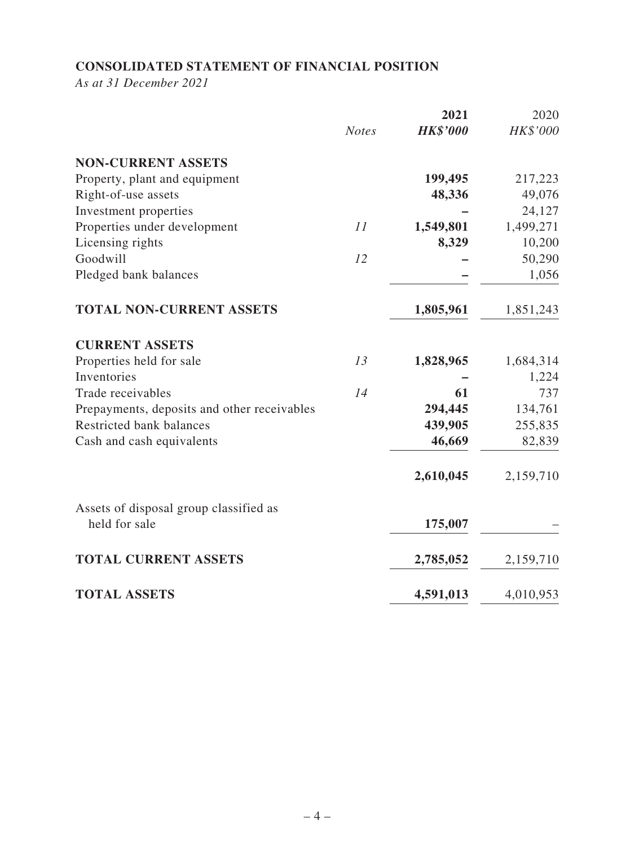# **CONSOLIDATED STATEMENT OF FINANCIAL POSITION**

*As at 31 December 2021*

|                                             | <b>Notes</b> | 2021<br><b>HK\$'000</b> | 2020<br>HK\$'000 |
|---------------------------------------------|--------------|-------------------------|------------------|
| <b>NON-CURRENT ASSETS</b>                   |              |                         |                  |
| Property, plant and equipment               |              | 199,495                 | 217,223          |
| Right-of-use assets                         |              | 48,336                  | 49,076           |
| Investment properties                       |              |                         | 24,127           |
| Properties under development                | 11           | 1,549,801               | 1,499,271        |
| Licensing rights                            |              | 8,329                   | 10,200           |
| Goodwill                                    | 12           |                         | 50,290           |
| Pledged bank balances                       |              |                         | 1,056            |
| <b>TOTAL NON-CURRENT ASSETS</b>             |              | 1,805,961               | 1,851,243        |
| <b>CURRENT ASSETS</b>                       |              |                         |                  |
| Properties held for sale                    | 13           | 1,828,965               | 1,684,314        |
| Inventories                                 |              |                         | 1,224            |
| Trade receivables                           | 14           | 61                      | 737              |
| Prepayments, deposits and other receivables |              | 294,445                 | 134,761          |
| Restricted bank balances                    |              | 439,905                 | 255,835          |
| Cash and cash equivalents                   |              | 46,669                  | 82,839           |
|                                             |              | 2,610,045               | 2,159,710        |
| Assets of disposal group classified as      |              |                         |                  |
| held for sale                               |              | 175,007                 |                  |
| <b>TOTAL CURRENT ASSETS</b>                 |              | 2,785,052               | 2,159,710        |
| <b>TOTAL ASSETS</b>                         |              | 4,591,013               | 4,010,953        |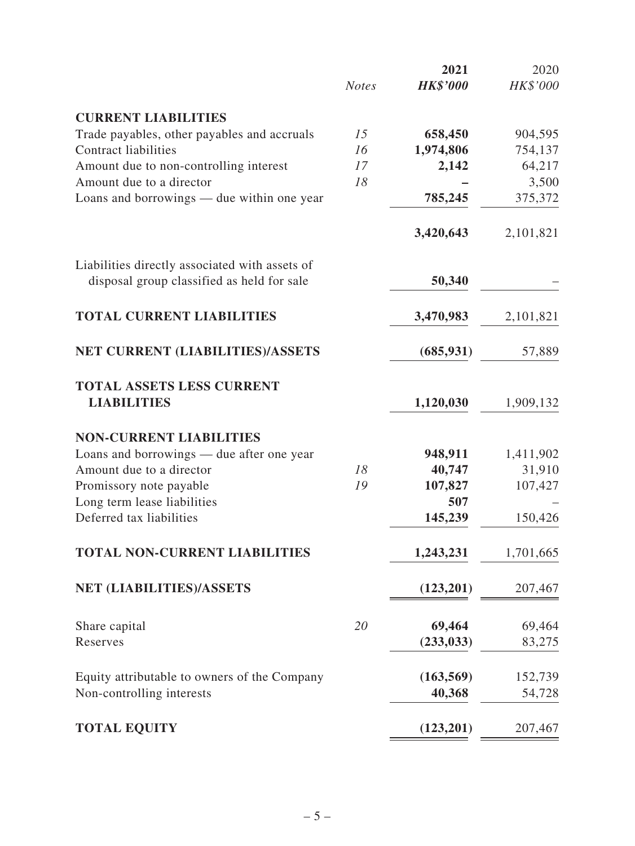|                                                |              | 2021            | 2020      |
|------------------------------------------------|--------------|-----------------|-----------|
|                                                | <b>Notes</b> | <b>HK\$'000</b> | HK\$'000  |
| <b>CURRENT LIABILITIES</b>                     |              |                 |           |
| Trade payables, other payables and accruals    | 15           | 658,450         | 904,595   |
| <b>Contract liabilities</b>                    | 16           | 1,974,806       | 754,137   |
| Amount due to non-controlling interest         | 17           | 2,142           | 64,217    |
| Amount due to a director                       | 18           |                 | 3,500     |
| Loans and borrowings — due within one year     |              | 785,245         | 375,372   |
|                                                |              | 3,420,643       | 2,101,821 |
| Liabilities directly associated with assets of |              |                 |           |
| disposal group classified as held for sale     |              | 50,340          |           |
| <b>TOTAL CURRENT LIABILITIES</b>               |              | 3,470,983       | 2,101,821 |
| NET CURRENT (LIABILITIES)/ASSETS               |              | (685, 931)      | 57,889    |
| <b>TOTAL ASSETS LESS CURRENT</b>               |              |                 |           |
| <b>LIABILITIES</b>                             |              | 1,120,030       | 1,909,132 |
| <b>NON-CURRENT LIABILITIES</b>                 |              |                 |           |
| Loans and borrowings — due after one year      |              | 948,911         | 1,411,902 |
| Amount due to a director                       | 18           | 40,747          | 31,910    |
| Promissory note payable                        | 19           | 107,827         | 107,427   |
| Long term lease liabilities                    |              | 507             |           |
| Deferred tax liabilities                       |              | 145,239         | 150,426   |
| <b>TOTAL NON-CURRENT LIABILITIES</b>           |              | 1,243,231       | 1,701,665 |
| NET (LIABILITIES)/ASSETS                       |              | (123,201)       | 207,467   |
| Share capital                                  | 20           | 69,464          | 69,464    |
| Reserves                                       |              | (233, 033)      | 83,275    |
| Equity attributable to owners of the Company   |              | (163, 569)      | 152,739   |
| Non-controlling interests                      |              | 40,368          | 54,728    |
| <b>TOTAL EQUITY</b>                            |              | (123,201)       | 207,467   |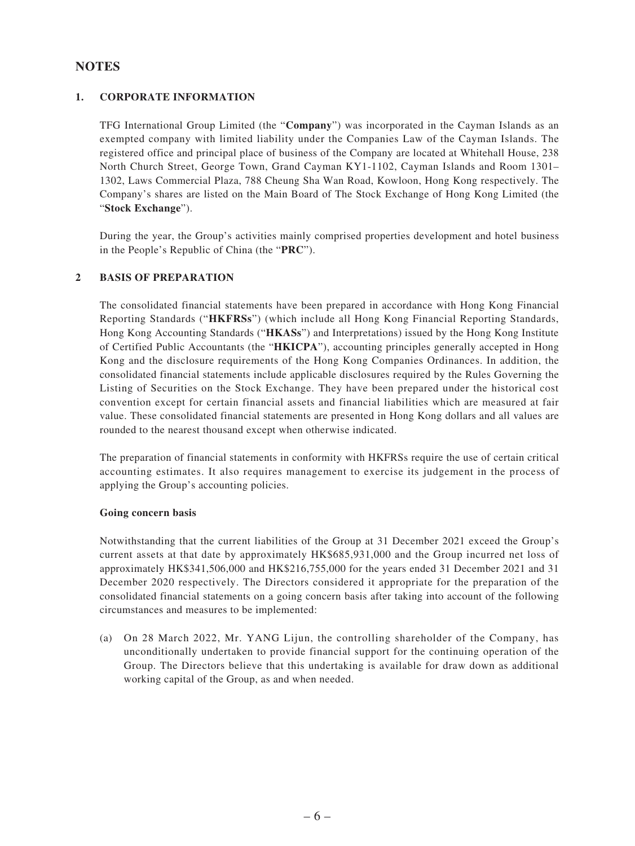### **NOTES**

### **1. CORPORATE INFORMATION**

TFG International Group Limited (the "**Company**") was incorporated in the Cayman Islands as an exempted company with limited liability under the Companies Law of the Cayman Islands. The registered office and principal place of business of the Company are located at Whitehall House, 238 North Church Street, George Town, Grand Cayman KY1-1102, Cayman Islands and Room 1301– 1302, Laws Commercial Plaza, 788 Cheung Sha Wan Road, Kowloon, Hong Kong respectively. The Company's shares are listed on the Main Board of The Stock Exchange of Hong Kong Limited (the "**Stock Exchange**").

During the year, the Group's activities mainly comprised properties development and hotel business in the People's Republic of China (the "**PRC**").

### **2 BASIS OF PREPARATION**

The consolidated financial statements have been prepared in accordance with Hong Kong Financial Reporting Standards ("**HKFRSs**") (which include all Hong Kong Financial Reporting Standards, Hong Kong Accounting Standards ("**HKASs**") and Interpretations) issued by the Hong Kong Institute of Certified Public Accountants (the "**HKICPA**"), accounting principles generally accepted in Hong Kong and the disclosure requirements of the Hong Kong Companies Ordinances. In addition, the consolidated financial statements include applicable disclosures required by the Rules Governing the Listing of Securities on the Stock Exchange. They have been prepared under the historical cost convention except for certain financial assets and financial liabilities which are measured at fair value. These consolidated financial statements are presented in Hong Kong dollars and all values are rounded to the nearest thousand except when otherwise indicated.

The preparation of financial statements in conformity with HKFRSs require the use of certain critical accounting estimates. It also requires management to exercise its judgement in the process of applying the Group's accounting policies.

#### **Going concern basis**

Notwithstanding that the current liabilities of the Group at 31 December 2021 exceed the Group's current assets at that date by approximately HK\$685,931,000 and the Group incurred net loss of approximately HK\$341,506,000 and HK\$216,755,000 for the years ended 31 December 2021 and 31 December 2020 respectively. The Directors considered it appropriate for the preparation of the consolidated financial statements on a going concern basis after taking into account of the following circumstances and measures to be implemented:

(a) On 28 March 2022, Mr. YANG Lijun, the controlling shareholder of the Company, has unconditionally undertaken to provide financial support for the continuing operation of the Group. The Directors believe that this undertaking is available for draw down as additional working capital of the Group, as and when needed.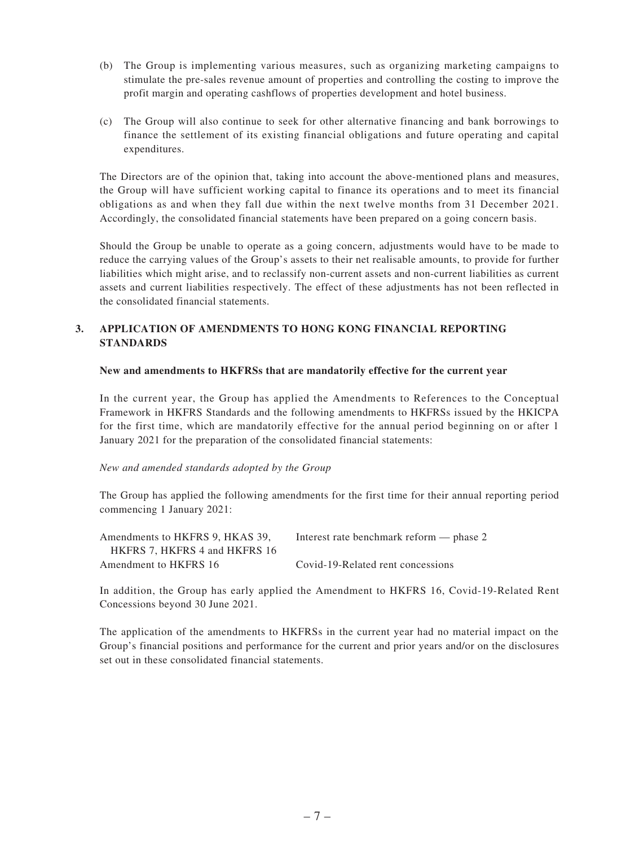- (b) The Group is implementing various measures, such as organizing marketing campaigns to stimulate the pre-sales revenue amount of properties and controlling the costing to improve the profit margin and operating cashflows of properties development and hotel business.
- (c) The Group will also continue to seek for other alternative financing and bank borrowings to finance the settlement of its existing financial obligations and future operating and capital expenditures.

The Directors are of the opinion that, taking into account the above-mentioned plans and measures, the Group will have sufficient working capital to finance its operations and to meet its financial obligations as and when they fall due within the next twelve months from 31 December 2021. Accordingly, the consolidated financial statements have been prepared on a going concern basis.

Should the Group be unable to operate as a going concern, adjustments would have to be made to reduce the carrying values of the Group's assets to their net realisable amounts, to provide for further liabilities which might arise, and to reclassify non-current assets and non-current liabilities as current assets and current liabilities respectively. The effect of these adjustments has not been reflected in the consolidated financial statements.

### **3. APPLICATION OF AMENDMENTS TO HONG KONG FINANCIAL REPORTING STANDARDS**

#### **New and amendments to HKFRSs that are mandatorily effective for the current year**

In the current year, the Group has applied the Amendments to References to the Conceptual Framework in HKFRS Standards and the following amendments to HKFRSs issued by the HKICPA for the first time, which are mandatorily effective for the annual period beginning on or after 1 January 2021 for the preparation of the consolidated financial statements:

#### *New and amended standards adopted by the Group*

The Group has applied the following amendments for the first time for their annual reporting period commencing 1 January 2021:

| Amendments to HKFRS 9, HKAS 39, | Interest rate benchmark reform — phase 2 |
|---------------------------------|------------------------------------------|
| HKFRS 7. HKFRS 4 and HKFRS 16   |                                          |
| Amendment to HKFRS 16           | Covid-19-Related rent concessions        |

In addition, the Group has early applied the Amendment to HKFRS 16, Covid-19-Related Rent Concessions beyond 30 June 2021.

The application of the amendments to HKFRSs in the current year had no material impact on the Group's financial positions and performance for the current and prior years and/or on the disclosures set out in these consolidated financial statements.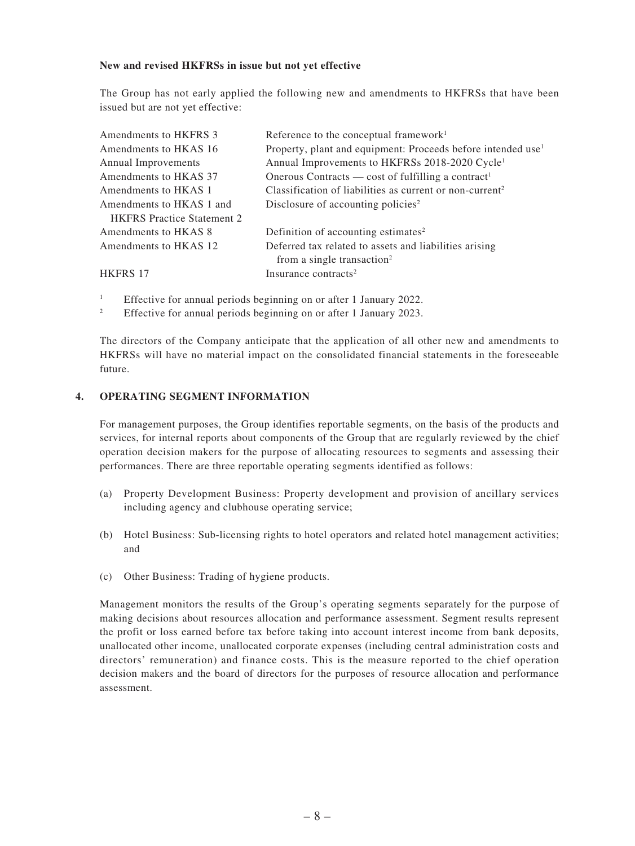#### **New and revised HKFRSs in issue but not yet effective**

The Group has not early applied the following new and amendments to HKFRSs that have been issued but are not yet effective:

| Amendments to HKFRS 3             | Reference to the conceptual framework <sup>1</sup>                       |
|-----------------------------------|--------------------------------------------------------------------------|
| Amendments to HKAS 16             | Property, plant and equipment: Proceeds before intended use <sup>1</sup> |
| Annual Improvements               | Annual Improvements to HKFRSs 2018-2020 Cycle <sup>1</sup>               |
| Amendments to HKAS 37             | Onerous Contracts — cost of fulfilling a contract <sup>1</sup>           |
| Amendments to HKAS 1              | Classification of liabilities as current or non-current <sup>2</sup>     |
| Amendments to HKAS 1 and          | Disclosure of accounting policies <sup>2</sup>                           |
| <b>HKFRS</b> Practice Statement 2 |                                                                          |
| Amendments to HKAS 8              | Definition of accounting estimates <sup>2</sup>                          |
| Amendments to HKAS 12             | Deferred tax related to assets and liabilities arising                   |
|                                   | from a single transaction <sup>2</sup>                                   |
| <b>HKFRS 17</b>                   | Insurance contracts <sup>2</sup>                                         |

- <sup>1</sup> Effective for annual periods beginning on or after 1 January 2022.<br><sup>2</sup> Effective for annual periods beginning on or after 1 January 2023.
- <sup>2</sup> Effective for annual periods beginning on or after 1 January 2023.

The directors of the Company anticipate that the application of all other new and amendments to HKFRSs will have no material impact on the consolidated financial statements in the foreseeable future.

#### **4. OPERATING SEGMENT INFORMATION**

For management purposes, the Group identifies reportable segments, on the basis of the products and services, for internal reports about components of the Group that are regularly reviewed by the chief operation decision makers for the purpose of allocating resources to segments and assessing their performances. There are three reportable operating segments identified as follows:

- (a) Property Development Business: Property development and provision of ancillary services including agency and clubhouse operating service;
- (b) Hotel Business: Sub-licensing rights to hotel operators and related hotel management activities; and
- (c) Other Business: Trading of hygiene products.

Management monitors the results of the Group's operating segments separately for the purpose of making decisions about resources allocation and performance assessment. Segment results represent the profit or loss earned before tax before taking into account interest income from bank deposits, unallocated other income, unallocated corporate expenses (including central administration costs and directors' remuneration) and finance costs. This is the measure reported to the chief operation decision makers and the board of directors for the purposes of resource allocation and performance assessment.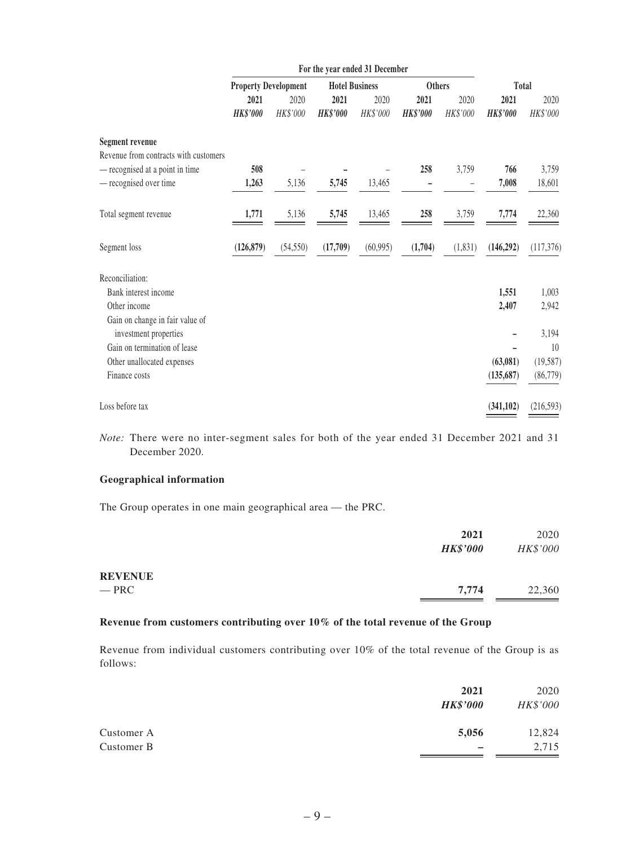|                                                       | For the year ended 31 December |           |                       |           |                 |          |                 |                 |
|-------------------------------------------------------|--------------------------------|-----------|-----------------------|-----------|-----------------|----------|-----------------|-----------------|
|                                                       | <b>Property Development</b>    |           | <b>Hotel Business</b> |           | <b>Others</b>   |          | <b>Total</b>    |                 |
|                                                       | 2021                           | 2020      | 2021                  | 2020      | 2021            | 2020     | 2021            | 2020            |
|                                                       | <b>HK\$'000</b>                | HK\$'000  | <b>HK\$'000</b>       | HK\$'000  | <b>HK\$'000</b> | HK\$'000 | <b>HK\$'000</b> | HK\$'000        |
| Segment revenue                                       |                                |           |                       |           |                 |          |                 |                 |
| Revenue from contracts with customers                 |                                |           |                       |           |                 |          |                 |                 |
| - recognised at a point in time                       | 508                            |           |                       |           | 258             | 3,759    | 766             | 3,759           |
| - recognised over time                                | 1,263                          | 5,136     | 5,745                 | 13,465    |                 |          | 7,008           | 18,601          |
| Total segment revenue                                 | 1,771                          | 5,136     | 5,745                 | 13,465    | 258             | 3,759    | 7,774           | 22,360          |
| Segment loss                                          | (126, 879)                     | (54, 550) | (17,709)              | (60, 995) | (1,704)         | (1, 831) | (146,292)       | (117, 376)      |
| Reconciliation:                                       |                                |           |                       |           |                 |          |                 |                 |
| Bank interest income                                  |                                |           |                       |           |                 |          | 1,551           | 1,003           |
| Other income                                          |                                |           |                       |           |                 |          | 2,407           | 2,942           |
| Gain on change in fair value of                       |                                |           |                       |           |                 |          |                 |                 |
| investment properties<br>Gain on termination of lease |                                |           |                       |           |                 |          |                 | 3,194           |
|                                                       |                                |           |                       |           |                 |          | (63,081)        | 10<br>(19, 587) |
| Other unallocated expenses<br>Finance costs           |                                |           |                       |           |                 |          |                 |                 |
|                                                       |                                |           |                       |           |                 |          | (135, 687)      | (86, 779)       |
| Loss before tax                                       |                                |           |                       |           |                 |          | (341, 102)      | (216, 593)      |

*Note:* There were no inter-segment sales for both of the year ended 31 December 2021 and 31 December 2020.

#### **Geographical information**

The Group operates in one main geographical area — the PRC.

|                | 2021            | 2020     |
|----------------|-----------------|----------|
|                | <b>HK\$'000</b> | HK\$'000 |
| <b>REVENUE</b> |                 |          |
| $-$ PRC $-$    | 7,774           | 22,360   |
|                |                 |          |

### **Revenue from customers contributing over 10% of the total revenue of the Group**

Revenue from individual customers contributing over 10% of the total revenue of the Group is as follows:

|            | 2021            | 2020     |
|------------|-----------------|----------|
|            | <b>HK\$'000</b> | HK\$'000 |
| Customer A | 5,056           | 12,824   |
| Customer B |                 | 2,715    |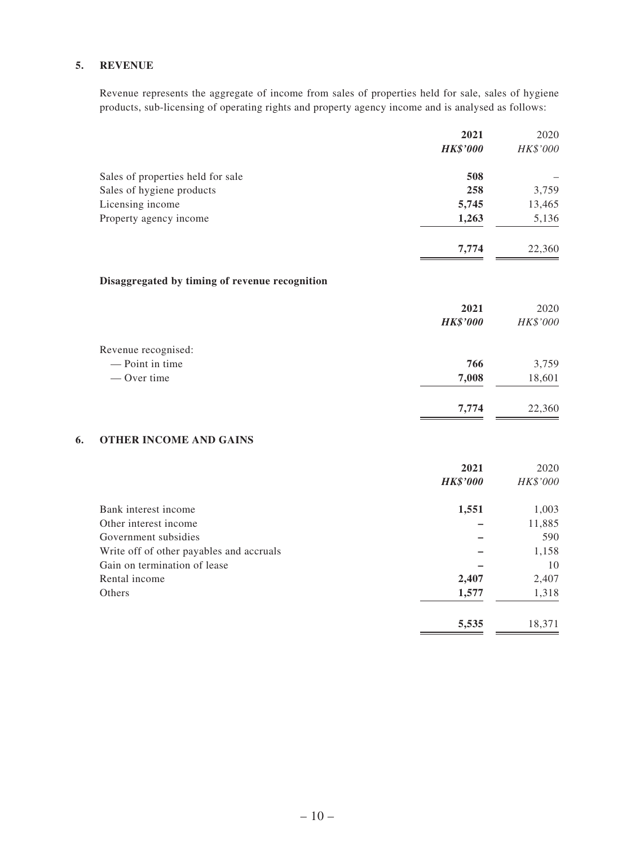#### **5. REVENUE**

Revenue represents the aggregate of income from sales of properties held for sale, sales of hygiene products, sub-licensing of operating rights and property agency income and is analysed as follows:

|    |                                                | 2021            | 2020     |
|----|------------------------------------------------|-----------------|----------|
|    |                                                | <b>HK\$'000</b> | HK\$'000 |
|    | Sales of properties held for sale              | 508             |          |
|    | Sales of hygiene products                      | 258             | 3,759    |
|    | Licensing income                               | 5,745           | 13,465   |
|    | Property agency income                         | 1,263           | 5,136    |
|    |                                                | 7,774           | 22,360   |
|    | Disaggregated by timing of revenue recognition |                 |          |
|    |                                                | 2021            | 2020     |
|    |                                                | <b>HK\$'000</b> | HK\$'000 |
|    | Revenue recognised:                            |                 |          |
|    | - Point in time                                | 766             | 3,759    |
|    | $-$ Over time                                  | 7,008           | 18,601   |
|    |                                                | 7,774           | 22,360   |
| 6. | <b>OTHER INCOME AND GAINS</b>                  |                 |          |
|    |                                                | 2021            | 2020     |
|    |                                                | <b>HK\$'000</b> | HK\$'000 |

| Bank interest income                     | 1,551 | 1,003  |
|------------------------------------------|-------|--------|
| Other interest income                    |       | 11,885 |
| Government subsidies                     |       | 590    |
| Write off of other payables and accruals |       | 1,158  |
| Gain on termination of lease             |       | 10     |
| Rental income                            | 2,407 | 2,407  |
| Others                                   | 1,577 | 1,318  |
|                                          | 5,535 | 18.371 |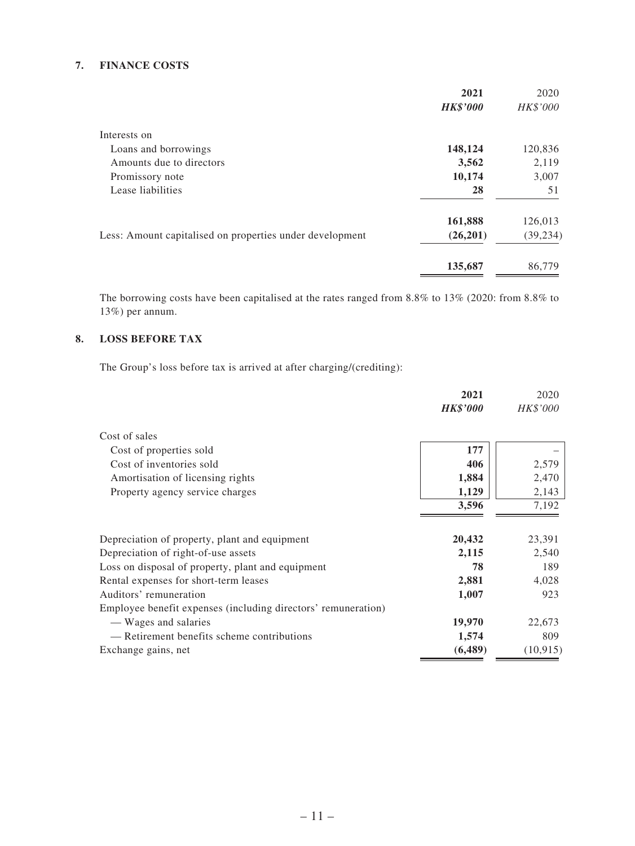#### **7. FINANCE COSTS**

|                                                          | 2021            | 2020      |
|----------------------------------------------------------|-----------------|-----------|
|                                                          | <b>HK\$'000</b> | HK\$'000  |
| Interests on                                             |                 |           |
| Loans and borrowings                                     | 148,124         | 120,836   |
| Amounts due to directors                                 | 3,562           | 2,119     |
| Promissory note                                          | 10,174          | 3,007     |
| Lease liabilities                                        | 28              | 51        |
|                                                          | 161,888         | 126,013   |
| Less: Amount capitalised on properties under development | (26,201)        | (39, 234) |
|                                                          | 135,687         | 86,779    |
|                                                          |                 |           |

The borrowing costs have been capitalised at the rates ranged from 8.8% to 13% (2020: from 8.8% to 13%) per annum.

### **8. LOSS BEFORE TAX**

The Group's loss before tax is arrived at after charging/(crediting):

|                                                               | 2021            | 2020      |
|---------------------------------------------------------------|-----------------|-----------|
|                                                               | <b>HK\$'000</b> | HK\$'000  |
| Cost of sales                                                 |                 |           |
| Cost of properties sold                                       | 177             |           |
| Cost of inventories sold                                      | 406             | 2,579     |
| Amortisation of licensing rights                              | 1,884           | 2,470     |
| Property agency service charges                               | 1,129           | 2,143     |
|                                                               | 3,596           | 7,192     |
|                                                               |                 |           |
| Depreciation of property, plant and equipment                 | 20,432          | 23,391    |
| Depreciation of right-of-use assets                           | 2,115           | 2,540     |
| Loss on disposal of property, plant and equipment             | 78              | 189       |
| Rental expenses for short-term leases                         | 2,881           | 4,028     |
| Auditors' remuneration                                        | 1,007           | 923       |
| Employee benefit expenses (including directors' remuneration) |                 |           |
| — Wages and salaries                                          | 19,970          | 22,673    |
| — Retirement benefits scheme contributions                    | 1,574           | 809       |
| Exchange gains, net                                           | (6, 489)        | (10, 915) |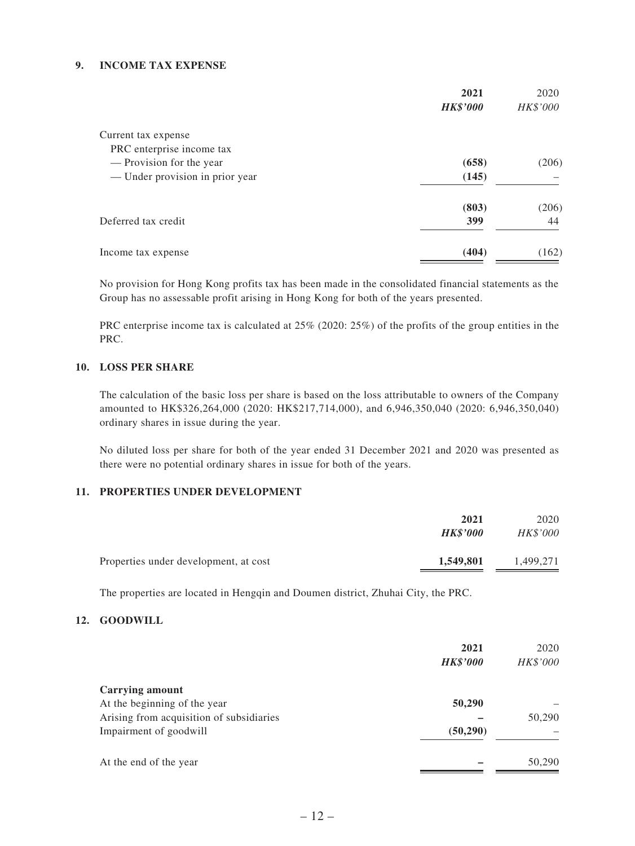#### **9. INCOME TAX EXPENSE**

|                                 | 2021<br><b>HK\$'000</b> | 2020<br>HK\$'000 |
|---------------------------------|-------------------------|------------------|
| Current tax expense             |                         |                  |
| PRC enterprise income tax       |                         |                  |
| — Provision for the year        | (658)                   | (206)            |
| — Under provision in prior year | (145)                   |                  |
|                                 | (803)                   | (206)            |
| Deferred tax credit             | 399                     | 44               |
| Income tax expense              | (404)                   | (162)            |

No provision for Hong Kong profits tax has been made in the consolidated financial statements as the Group has no assessable profit arising in Hong Kong for both of the years presented.

PRC enterprise income tax is calculated at 25% (2020: 25%) of the profits of the group entities in the PRC.

### **10. LOSS PER SHARE**

The calculation of the basic loss per share is based on the loss attributable to owners of the Company amounted to HK\$326,264,000 (2020: HK\$217,714,000), and 6,946,350,040 (2020: 6,946,350,040) ordinary shares in issue during the year.

No diluted loss per share for both of the year ended 31 December 2021 and 2020 was presented as there were no potential ordinary shares in issue for both of the years.

#### **11. PROPERTIES UNDER DEVELOPMENT**

|                                       | 2021            | 2020            |
|---------------------------------------|-----------------|-----------------|
|                                       | <b>HK\$'000</b> | <b>HK\$'000</b> |
| Properties under development, at cost | 1,549,801       | 1,499,271       |

The properties are located in Hengqin and Doumen district, Zhuhai City, the PRC.

### **12. GOODWILL**

|                                          | 2021<br><b>HK\$'000</b> | 2020<br>HK\$'000 |
|------------------------------------------|-------------------------|------------------|
| <b>Carrying amount</b>                   |                         |                  |
| At the beginning of the year             | 50,290                  |                  |
| Arising from acquisition of subsidiaries |                         | 50,290           |
| Impairment of goodwill                   | (50, 290)               |                  |
| At the end of the year                   |                         | 50,290           |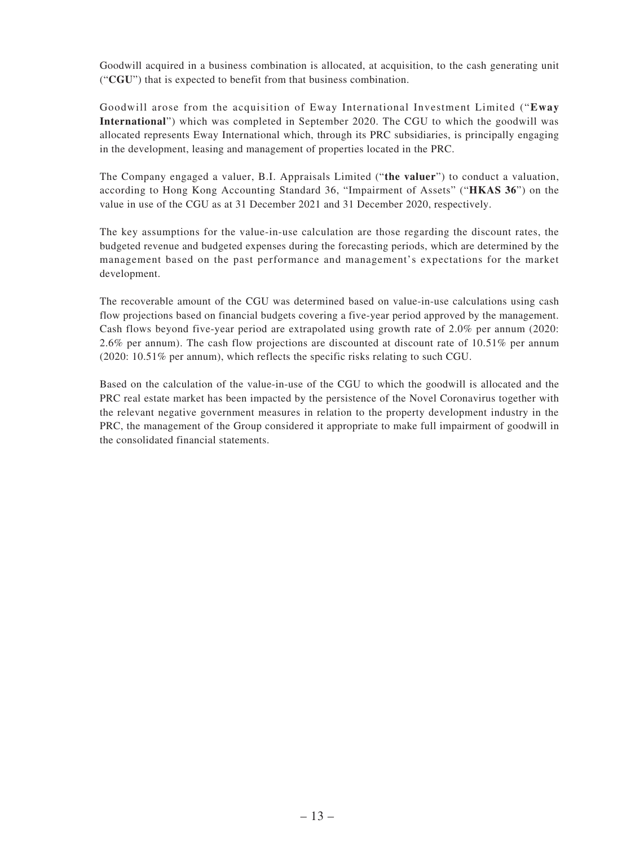Goodwill acquired in a business combination is allocated, at acquisition, to the cash generating unit ("**CGU**") that is expected to benefit from that business combination.

Goodwill arose from the acquisition of Eway International Investment Limited ("**Eway International**") which was completed in September 2020. The CGU to which the goodwill was allocated represents Eway International which, through its PRC subsidiaries, is principally engaging in the development, leasing and management of properties located in the PRC.

The Company engaged a valuer, B.I. Appraisals Limited ("**the valuer**") to conduct a valuation, according to Hong Kong Accounting Standard 36, "Impairment of Assets" ("**HKAS 36**") on the value in use of the CGU as at 31 December 2021 and 31 December 2020, respectively.

The key assumptions for the value-in-use calculation are those regarding the discount rates, the budgeted revenue and budgeted expenses during the forecasting periods, which are determined by the management based on the past performance and management's expectations for the market development.

The recoverable amount of the CGU was determined based on value-in-use calculations using cash flow projections based on financial budgets covering a five-year period approved by the management. Cash flows beyond five-year period are extrapolated using growth rate of 2.0% per annum (2020: 2.6% per annum). The cash flow projections are discounted at discount rate of 10.51% per annum (2020: 10.51% per annum), which reflects the specific risks relating to such CGU.

Based on the calculation of the value-in-use of the CGU to which the goodwill is allocated and the PRC real estate market has been impacted by the persistence of the Novel Coronavirus together with the relevant negative government measures in relation to the property development industry in the PRC, the management of the Group considered it appropriate to make full impairment of goodwill in the consolidated financial statements.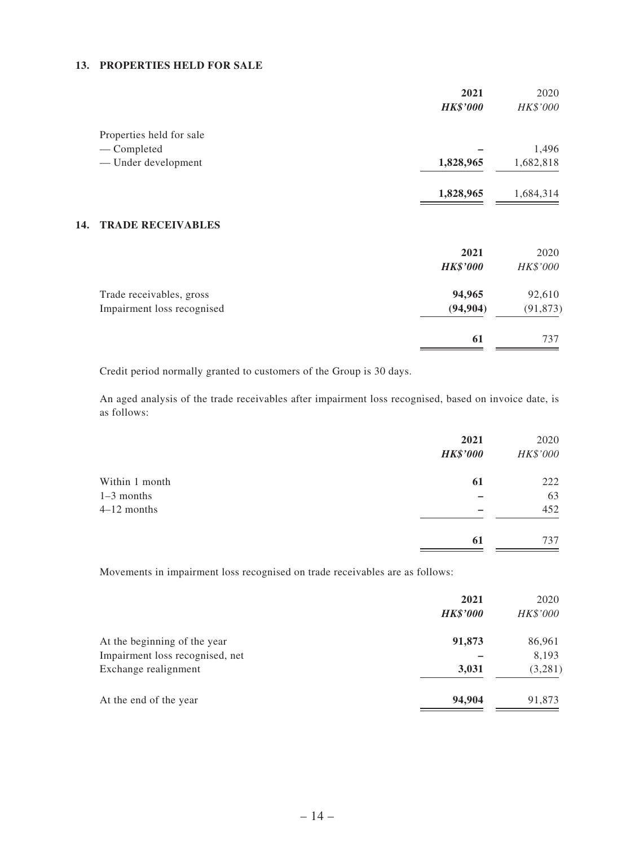#### **13. PROPERTIES HELD FOR SALE**

|     |                            | 2021<br><b>HK\$'000</b> | 2020<br>HK\$'000 |
|-----|----------------------------|-------------------------|------------------|
|     | Properties held for sale   |                         |                  |
|     | — Completed                |                         | 1,496            |
|     | - Under development        | 1,828,965               | 1,682,818        |
|     |                            | 1,828,965               | 1,684,314        |
| 14. | <b>TRADE RECEIVABLES</b>   |                         |                  |
|     |                            | 2021                    | 2020             |
|     |                            | <b>HK\$'000</b>         | HK\$'000         |
|     | Trade receivables, gross   | 94,965                  | 92,610           |
|     | Impairment loss recognised | (94, 904)               | (91, 873)        |
|     |                            | 61                      | 737              |

Credit period normally granted to customers of the Group is 30 days.

An aged analysis of the trade receivables after impairment loss recognised, based on invoice date, is as follows:

|                | 2021<br><b>HK\$'000</b> | 2020<br>HK\$'000 |
|----------------|-------------------------|------------------|
| Within 1 month | 61                      | 222              |
| $1-3$ months   |                         | 63               |
| $4-12$ months  |                         | 452              |
|                | 61                      | 737              |

Movements in impairment loss recognised on trade receivables are as follows:

|                                 | 2021<br><b>HK\$'000</b> | 2020<br>HK\$'000 |
|---------------------------------|-------------------------|------------------|
| At the beginning of the year    | 91,873                  | 86,961           |
| Impairment loss recognised, net |                         | 8,193            |
| Exchange realignment            | 3,031                   | (3,281)          |
| At the end of the year          | 94,904                  | 91,873           |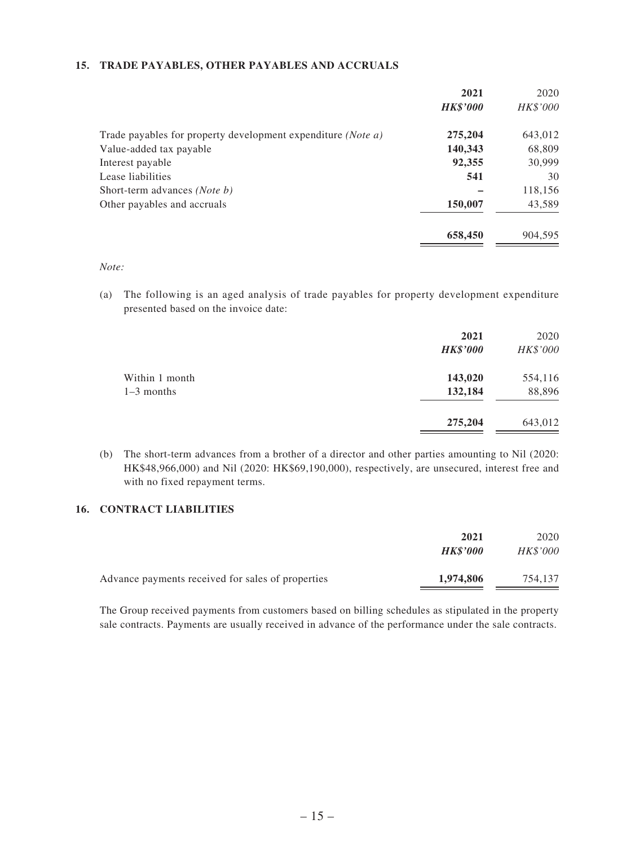### **15. TRADE PAYABLES, OTHER PAYABLES AND ACCRUALS**

| 2021            | 2020     |
|-----------------|----------|
| <b>HK\$'000</b> | HK\$'000 |
| 275,204         | 643,012  |
| 140,343         | 68,809   |
| 92,355          | 30,999   |
| 541             | 30       |
|                 | 118,156  |
| 150,007         | 43,589   |
| 658,450         | 904,595  |
|                 |          |

*Note:*

(a) The following is an aged analysis of trade payables for property development expenditure presented based on the invoice date:

|                                | 2021<br><b>HK\$'000</b> | 2020<br>HK\$'000  |
|--------------------------------|-------------------------|-------------------|
| Within 1 month<br>$1-3$ months | 143,020<br>132,184      | 554,116<br>88,896 |
|                                | 275,204                 | 643,012           |

(b) The short-term advances from a brother of a director and other parties amounting to Nil (2020: HK\$48,966,000) and Nil (2020: HK\$69,190,000), respectively, are unsecured, interest free and with no fixed repayment terms.

#### **16. CONTRACT LIABILITIES**

|                                                   | 2021            | 2020            |
|---------------------------------------------------|-----------------|-----------------|
|                                                   | <b>HK\$'000</b> | <b>HK\$'000</b> |
| Advance payments received for sales of properties | 1,974,806       | 754.137         |

The Group received payments from customers based on billing schedules as stipulated in the property sale contracts. Payments are usually received in advance of the performance under the sale contracts.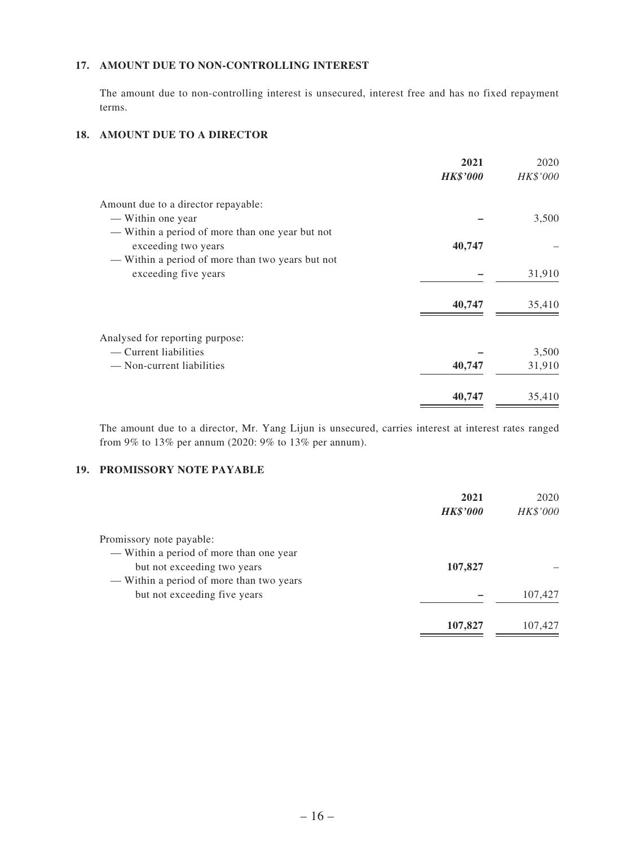### **17. AMOUNT DUE TO NON-CONTROLLING INTEREST**

The amount due to non-controlling interest is unsecured, interest free and has no fixed repayment terms.

### **18. AMOUNT DUE TO A DIRECTOR**

|                                                  | 2021            | 2020     |
|--------------------------------------------------|-----------------|----------|
|                                                  | <b>HK\$'000</b> | HK\$'000 |
| Amount due to a director repayable:              |                 |          |
| — Within one year                                |                 | 3,500    |
| - Within a period of more than one year but not  |                 |          |
| exceeding two years                              | 40,747          |          |
| - Within a period of more than two years but not |                 |          |
| exceeding five years                             |                 | 31,910   |
|                                                  |                 |          |
|                                                  | 40,747          | 35,410   |
|                                                  |                 |          |
| Analysed for reporting purpose:                  |                 |          |
| — Current liabilities                            |                 | 3,500    |
| - Non-current liabilities                        | 40,747          | 31,910   |
|                                                  |                 |          |
|                                                  | 40,747          | 35,410   |
|                                                  |                 |          |

The amount due to a director, Mr. Yang Lijun is unsecured, carries interest at interest rates ranged from 9% to 13% per annum (2020: 9% to 13% per annum).

### **19. PROMISSORY NOTE PAYABLE**

|                                          | 2021            | 2020     |
|------------------------------------------|-----------------|----------|
|                                          | <b>HK\$'000</b> | HK\$'000 |
| Promissory note payable:                 |                 |          |
| — Within a period of more than one year  |                 |          |
| but not exceeding two years              | 107,827         |          |
| — Within a period of more than two years |                 |          |
| but not exceeding five years             |                 | 107,427  |
|                                          | 107,827         | 107.427  |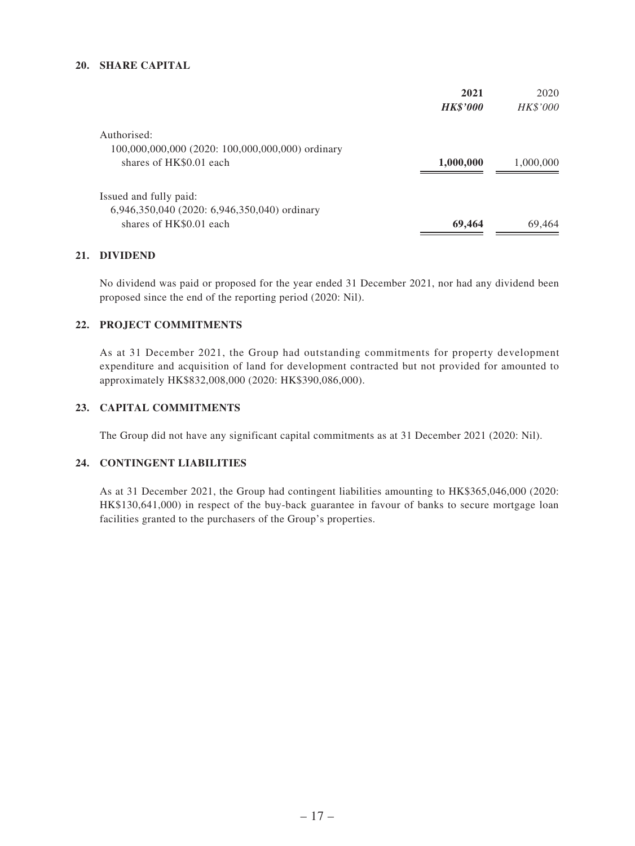#### **20. SHARE CAPITAL**

|                                                  | 2021            | 2020      |
|--------------------------------------------------|-----------------|-----------|
|                                                  | <b>HK\$'000</b> | HK\$'000  |
| Authorised:                                      |                 |           |
| 100,000,000,000 (2020: 100,000,000,000) ordinary |                 |           |
| shares of HK\$0.01 each                          | 1,000,000       | 1,000,000 |
| Issued and fully paid:                           |                 |           |
| 6,946,350,040 (2020: 6,946,350,040) ordinary     |                 |           |
| shares of HK\$0.01 each                          | 69,464          | 69,464    |

### **21. DIVIDEND**

No dividend was paid or proposed for the year ended 31 December 2021, nor had any dividend been proposed since the end of the reporting period (2020: Nil).

#### **22. PROJECT COMMITMENTS**

As at 31 December 2021, the Group had outstanding commitments for property development expenditure and acquisition of land for development contracted but not provided for amounted to approximately HK\$832,008,000 (2020: HK\$390,086,000).

### **23. CAPITAL COMMITMENTS**

The Group did not have any significant capital commitments as at 31 December 2021 (2020: Nil).

#### **24. CONTINGENT LIABILITIES**

As at 31 December 2021, the Group had contingent liabilities amounting to HK\$365,046,000 (2020: HK\$130,641,000) in respect of the buy-back guarantee in favour of banks to secure mortgage loan facilities granted to the purchasers of the Group's properties.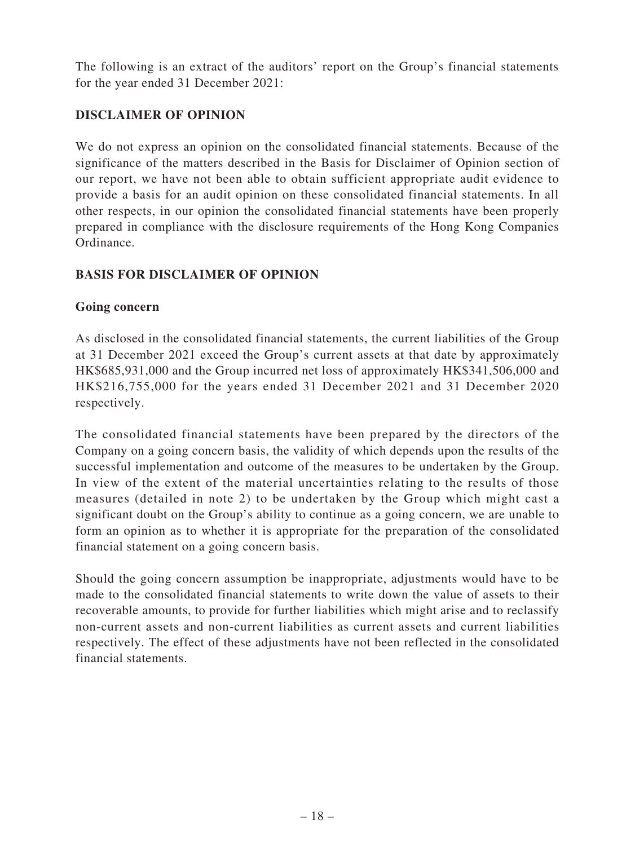The following is an extract of the auditors' report on the Group's financial statements for the year ended 31 December 2021:

# **DISCLAIMER OF OPINION**

We do not express an opinion on the consolidated financial statements. Because of the significance of the matters described in the Basis for Disclaimer of Opinion section of our report, we have not been able to obtain sufficient appropriate audit evidence to provide a basis for an audit opinion on these consolidated financial statements. In all other respects, in our opinion the consolidated financial statements have been properly prepared in compliance with the disclosure requirements of the Hong Kong Companies Ordinance.

# **BASIS FOR DISCLAIMER OF OPINION**

### **Going concern**

As disclosed in the consolidated financial statements, the current liabilities of the Group at 31 December 2021 exceed the Group's current assets at that date by approximately HK\$685,931,000 and the Group incurred net loss of approximately HK\$341,506,000 and HK\$216,755,000 for the years ended 31 December 2021 and 31 December 2020 respectively.

The consolidated financial statements have been prepared by the directors of the Company on a going concern basis, the validity of which depends upon the results of the successful implementation and outcome of the measures to be undertaken by the Group. In view of the extent of the material uncertainties relating to the results of those measures (detailed in note 2) to be undertaken by the Group which might cast a significant doubt on the Group's ability to continue as a going concern, we are unable to form an opinion as to whether it is appropriate for the preparation of the consolidated financial statement on a going concern basis.

Should the going concern assumption be inappropriate, adjustments would have to be made to the consolidated financial statements to write down the value of assets to their recoverable amounts, to provide for further liabilities which might arise and to reclassify non-current assets and non-current liabilities as current assets and current liabilities respectively. The effect of these adjustments have not been reflected in the consolidated financial statements.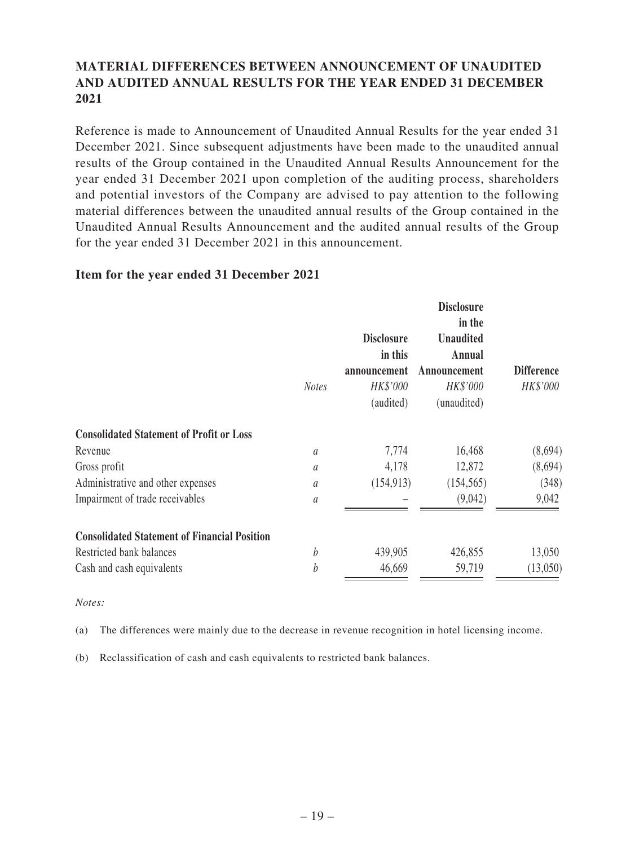# **MATERIAL DIFFERENCES BETWEEN ANNOUNCEMENT OF UNAUDITED AND AUDITED ANNUAL RESULTS FOR THE YEAR ENDED 31 DECEMBER 2021**

Reference is made to Announcement of Unaudited Annual Results for the year ended 31 December 2021. Since subsequent adjustments have been made to the unaudited annual results of the Group contained in the Unaudited Annual Results Announcement for the year ended 31 December 2021 upon completion of the auditing process, shareholders and potential investors of the Company are advised to pay attention to the following material differences between the unaudited annual results of the Group contained in the Unaudited Annual Results Announcement and the audited annual results of the Group for the year ended 31 December 2021 in this announcement.

### **Item for the year ended 31 December 2021**

|                                                     | <b>Notes</b>  | <b>Disclosure</b><br>in this<br>announcement<br>HK\$'000<br>(audited) | <b>Disclosure</b><br>in the<br><b>Unaudited</b><br>Annual<br>Announcement<br>HK\$'000<br>(unaudited) | <b>Difference</b><br>HK\$'000 |
|-----------------------------------------------------|---------------|-----------------------------------------------------------------------|------------------------------------------------------------------------------------------------------|-------------------------------|
| <b>Consolidated Statement of Profit or Loss</b>     |               |                                                                       |                                                                                                      |                               |
| Revenue                                             | a             | 7,774                                                                 | 16,468                                                                                               | (8,694)                       |
| Gross profit                                        | a             | 4,178                                                                 | 12,872                                                                                               | (8,694)                       |
| Administrative and other expenses                   | а             | (154, 913)                                                            | (154, 565)                                                                                           | (348)                         |
| Impairment of trade receivables                     | $\mathfrak a$ |                                                                       | (9,042)                                                                                              | 9,042                         |
| <b>Consolidated Statement of Financial Position</b> |               |                                                                       |                                                                                                      |                               |
| Restricted bank balances                            | b             | 439,905                                                               | 426,855                                                                                              | 13,050                        |
| Cash and cash equivalents                           | b             | 46,669                                                                | 59,719                                                                                               | (13,050)                      |
|                                                     |               |                                                                       |                                                                                                      |                               |

### *Notes:*

(a) The differences were mainly due to the decrease in revenue recognition in hotel licensing income.

(b) Reclassification of cash and cash equivalents to restricted bank balances.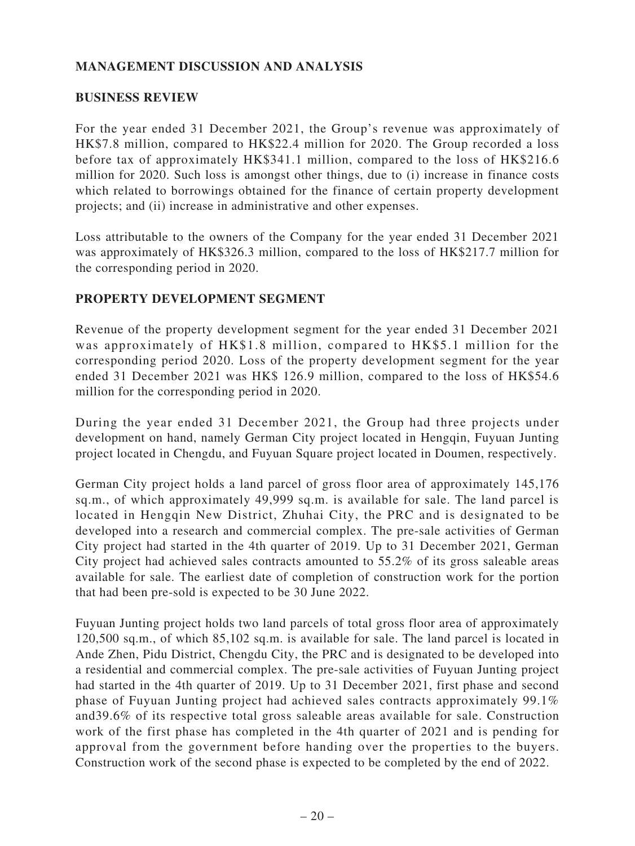# **MANAGEMENT DISCUSSION AND ANALYSIS**

### **BUSINESS REVIEW**

For the year ended 31 December 2021, the Group's revenue was approximately of HK\$7.8 million, compared to HK\$22.4 million for 2020. The Group recorded a loss before tax of approximately HK\$341.1 million, compared to the loss of HK\$216.6 million for 2020. Such loss is amongst other things, due to (i) increase in finance costs which related to borrowings obtained for the finance of certain property development projects; and (ii) increase in administrative and other expenses.

Loss attributable to the owners of the Company for the year ended 31 December 2021 was approximately of HK\$326.3 million, compared to the loss of HK\$217.7 million for the corresponding period in 2020.

### **PROPERTY DEVELOPMENT SEGMENT**

Revenue of the property development segment for the year ended 31 December 2021 was approximately of HK\$1.8 million, compared to HK\$5.1 million for the corresponding period 2020. Loss of the property development segment for the year ended 31 December 2021 was HK\$ 126.9 million, compared to the loss of HK\$54.6 million for the corresponding period in 2020.

During the year ended 31 December 2021, the Group had three projects under development on hand, namely German City project located in Hengqin, Fuyuan Junting project located in Chengdu, and Fuyuan Square project located in Doumen, respectively.

German City project holds a land parcel of gross floor area of approximately 145,176 sq.m., of which approximately 49,999 sq.m. is available for sale. The land parcel is located in Hengqin New District, Zhuhai City, the PRC and is designated to be developed into a research and commercial complex. The pre-sale activities of German City project had started in the 4th quarter of 2019. Up to 31 December 2021, German City project had achieved sales contracts amounted to 55.2% of its gross saleable areas available for sale. The earliest date of completion of construction work for the portion that had been pre-sold is expected to be 30 June 2022.

Fuyuan Junting project holds two land parcels of total gross floor area of approximately 120,500 sq.m., of which 85,102 sq.m. is available for sale. The land parcel is located in Ande Zhen, Pidu District, Chengdu City, the PRC and is designated to be developed into a residential and commercial complex. The pre-sale activities of Fuyuan Junting project had started in the 4th quarter of 2019. Up to 31 December 2021, first phase and second phase of Fuyuan Junting project had achieved sales contracts approximately 99.1% and39.6% of its respective total gross saleable areas available for sale. Construction work of the first phase has completed in the 4th quarter of 2021 and is pending for approval from the government before handing over the properties to the buyers. Construction work of the second phase is expected to be completed by the end of 2022.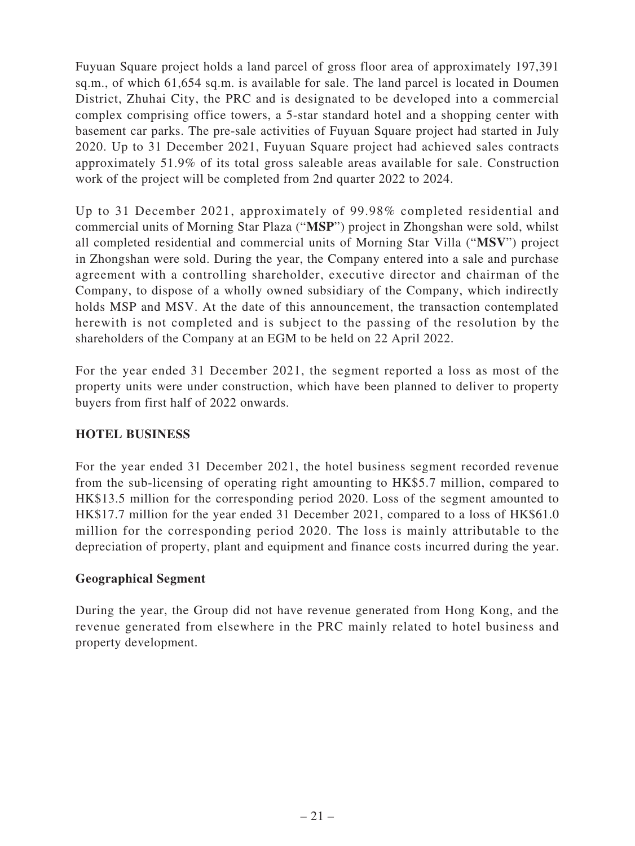Fuyuan Square project holds a land parcel of gross floor area of approximately 197,391 sq.m., of which 61,654 sq.m. is available for sale. The land parcel is located in Doumen District, Zhuhai City, the PRC and is designated to be developed into a commercial complex comprising office towers, a 5-star standard hotel and a shopping center with basement car parks. The pre-sale activities of Fuyuan Square project had started in July 2020. Up to 31 December 2021, Fuyuan Square project had achieved sales contracts approximately 51.9% of its total gross saleable areas available for sale. Construction work of the project will be completed from 2nd quarter 2022 to 2024.

Up to 31 December 2021, approximately of 99.98% completed residential and commercial units of Morning Star Plaza ("**MSP**") project in Zhongshan were sold, whilst all completed residential and commercial units of Morning Star Villa ("**MSV**") project in Zhongshan were sold. During the year, the Company entered into a sale and purchase agreement with a controlling shareholder, executive director and chairman of the Company, to dispose of a wholly owned subsidiary of the Company, which indirectly holds MSP and MSV. At the date of this announcement, the transaction contemplated herewith is not completed and is subject to the passing of the resolution by the shareholders of the Company at an EGM to be held on 22 April 2022.

For the year ended 31 December 2021, the segment reported a loss as most of the property units were under construction, which have been planned to deliver to property buyers from first half of 2022 onwards.

# **HOTEL BUSINESS**

For the year ended 31 December 2021, the hotel business segment recorded revenue from the sub-licensing of operating right amounting to HK\$5.7 million, compared to HK\$13.5 million for the corresponding period 2020. Loss of the segment amounted to HK\$17.7 million for the year ended 31 December 2021, compared to a loss of HK\$61.0 million for the corresponding period 2020. The loss is mainly attributable to the depreciation of property, plant and equipment and finance costs incurred during the year.

# **Geographical Segment**

During the year, the Group did not have revenue generated from Hong Kong, and the revenue generated from elsewhere in the PRC mainly related to hotel business and property development.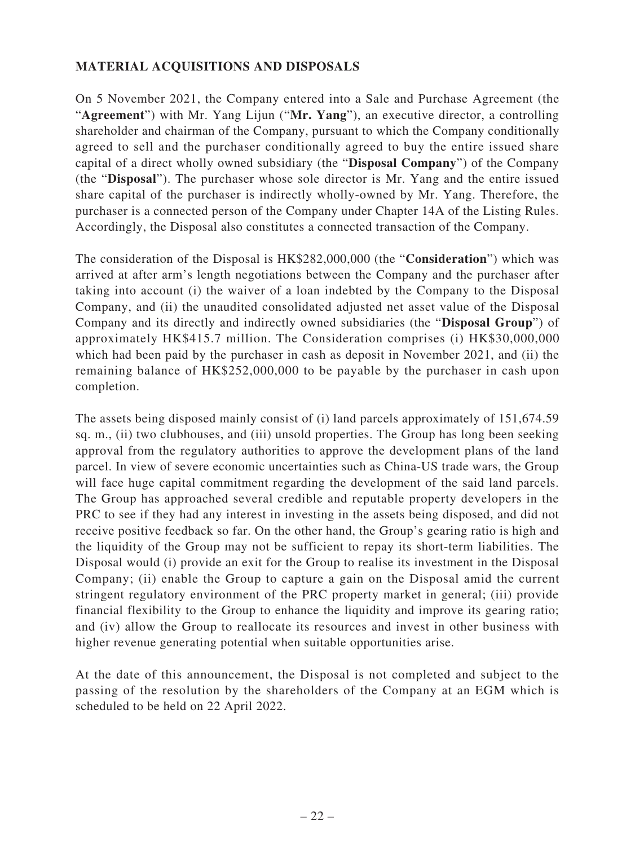# **MATERIAL ACQUISITIONS AND DISPOSALS**

On 5 November 2021, the Company entered into a Sale and Purchase Agreement (the "**Agreement**") with Mr. Yang Lijun ("**Mr. Yang**"), an executive director, a controlling shareholder and chairman of the Company, pursuant to which the Company conditionally agreed to sell and the purchaser conditionally agreed to buy the entire issued share capital of a direct wholly owned subsidiary (the "**Disposal Company**") of the Company (the "**Disposal**"). The purchaser whose sole director is Mr. Yang and the entire issued share capital of the purchaser is indirectly wholly-owned by Mr. Yang. Therefore, the purchaser is a connected person of the Company under Chapter 14A of the Listing Rules. Accordingly, the Disposal also constitutes a connected transaction of the Company.

The consideration of the Disposal is HK\$282,000,000 (the "**Consideration**") which was arrived at after arm's length negotiations between the Company and the purchaser after taking into account (i) the waiver of a loan indebted by the Company to the Disposal Company, and (ii) the unaudited consolidated adjusted net asset value of the Disposal Company and its directly and indirectly owned subsidiaries (the "**Disposal Group**") of approximately HK\$415.7 million. The Consideration comprises (i) HK\$30,000,000 which had been paid by the purchaser in cash as deposit in November 2021, and (ii) the remaining balance of HK\$252,000,000 to be payable by the purchaser in cash upon completion.

The assets being disposed mainly consist of (i) land parcels approximately of 151,674.59 sq. m., (ii) two clubhouses, and (iii) unsold properties. The Group has long been seeking approval from the regulatory authorities to approve the development plans of the land parcel. In view of severe economic uncertainties such as China-US trade wars, the Group will face huge capital commitment regarding the development of the said land parcels. The Group has approached several credible and reputable property developers in the PRC to see if they had any interest in investing in the assets being disposed, and did not receive positive feedback so far. On the other hand, the Group's gearing ratio is high and the liquidity of the Group may not be sufficient to repay its short-term liabilities. The Disposal would (i) provide an exit for the Group to realise its investment in the Disposal Company; (ii) enable the Group to capture a gain on the Disposal amid the current stringent regulatory environment of the PRC property market in general; (iii) provide financial flexibility to the Group to enhance the liquidity and improve its gearing ratio; and (iv) allow the Group to reallocate its resources and invest in other business with higher revenue generating potential when suitable opportunities arise.

At the date of this announcement, the Disposal is not completed and subject to the passing of the resolution by the shareholders of the Company at an EGM which is scheduled to be held on 22 April 2022.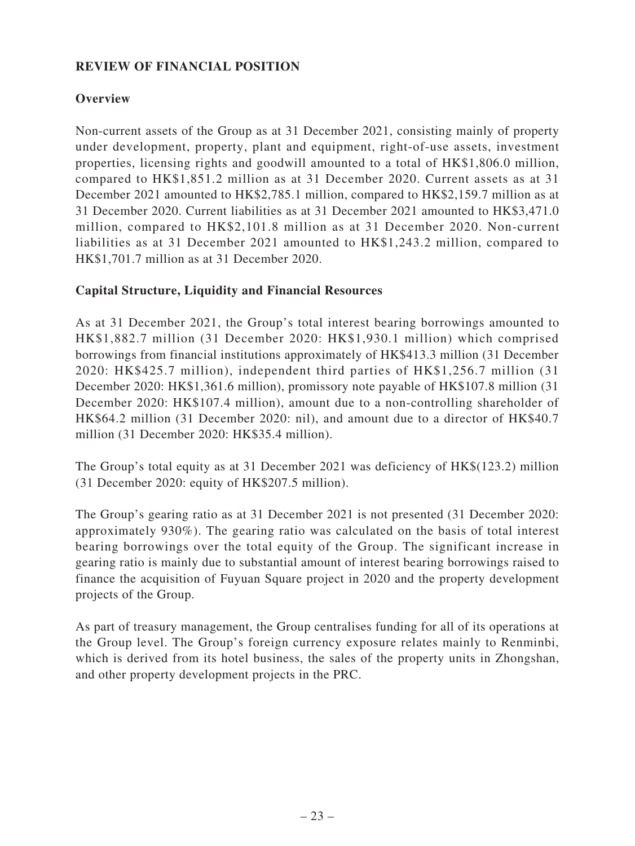# **REVIEW OF FINANCIAL POSITION**

# **Overview**

Non-current assets of the Group as at 31 December 2021, consisting mainly of property under development, property, plant and equipment, right-of-use assets, investment properties, licensing rights and goodwill amounted to a total of HK\$1,806.0 million, compared to HK\$1,851.2 million as at 31 December 2020. Current assets as at 31 December 2021 amounted to HK\$2,785.1 million, compared to HK\$2,159.7 million as at 31 December 2020. Current liabilities as at 31 December 2021 amounted to HK\$3,471.0 million, compared to HK\$2,101.8 million as at 31 December 2020. Non-current liabilities as at 31 December 2021 amounted to HK\$1,243.2 million, compared to HK\$1,701.7 million as at 31 December 2020.

### **Capital Structure, Liquidity and Financial Resources**

As at 31 December 2021, the Group's total interest bearing borrowings amounted to HK\$1,882.7 million (31 December 2020: HK\$1,930.1 million) which comprised borrowings from financial institutions approximately of HK\$413.3 million (31 December 2020: HK\$425.7 million), independent third parties of HK\$1,256.7 million (31 December 2020: HK\$1,361.6 million), promissory note payable of HK\$107.8 million (31 December 2020: HK\$107.4 million), amount due to a non-controlling shareholder of HK\$64.2 million (31 December 2020: nil), and amount due to a director of HK\$40.7 million (31 December 2020: HK\$35.4 million).

The Group's total equity as at 31 December 2021 was deficiency of HK\$(123.2) million (31 December 2020: equity of HK\$207.5 million).

The Group's gearing ratio as at 31 December 2021 is not presented (31 December 2020: approximately 930%). The gearing ratio was calculated on the basis of total interest bearing borrowings over the total equity of the Group. The significant increase in gearing ratio is mainly due to substantial amount of interest bearing borrowings raised to finance the acquisition of Fuyuan Square project in 2020 and the property development projects of the Group.

As part of treasury management, the Group centralises funding for all of its operations at the Group level. The Group's foreign currency exposure relates mainly to Renminbi, which is derived from its hotel business, the sales of the property units in Zhongshan, and other property development projects in the PRC.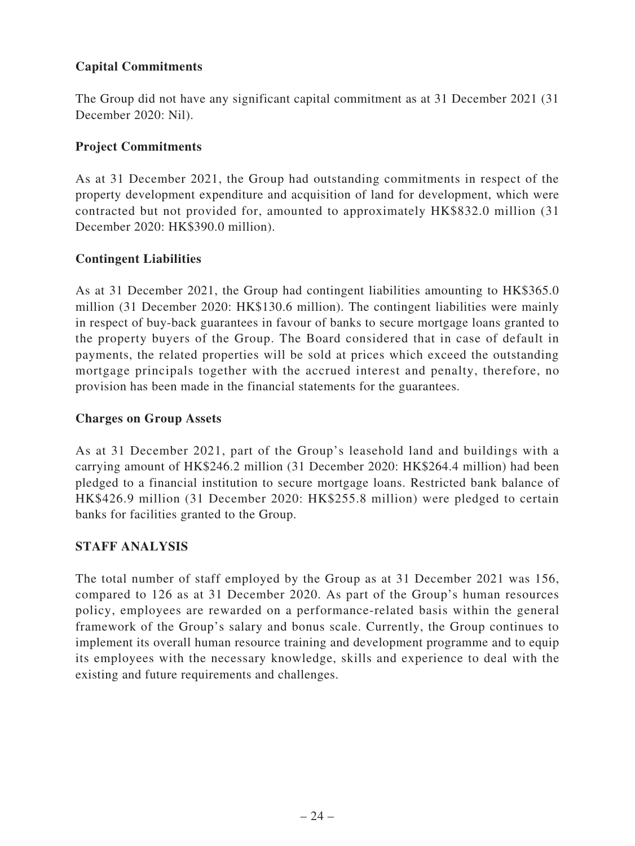# **Capital Commitments**

The Group did not have any significant capital commitment as at 31 December 2021 (31 December 2020: Nil).

# **Project Commitments**

As at 31 December 2021, the Group had outstanding commitments in respect of the property development expenditure and acquisition of land for development, which were contracted but not provided for, amounted to approximately HK\$832.0 million (31 December 2020: HK\$390.0 million).

# **Contingent Liabilities**

As at 31 December 2021, the Group had contingent liabilities amounting to HK\$365.0 million (31 December 2020: HK\$130.6 million). The contingent liabilities were mainly in respect of buy-back guarantees in favour of banks to secure mortgage loans granted to the property buyers of the Group. The Board considered that in case of default in payments, the related properties will be sold at prices which exceed the outstanding mortgage principals together with the accrued interest and penalty, therefore, no provision has been made in the financial statements for the guarantees.

# **Charges on Group Assets**

As at 31 December 2021, part of the Group's leasehold land and buildings with a carrying amount of HK\$246.2 million (31 December 2020: HK\$264.4 million) had been pledged to a financial institution to secure mortgage loans. Restricted bank balance of HK\$426.9 million (31 December 2020: HK\$255.8 million) were pledged to certain banks for facilities granted to the Group.

# **STAFF ANALYSIS**

The total number of staff employed by the Group as at 31 December 2021 was 156, compared to 126 as at 31 December 2020. As part of the Group's human resources policy, employees are rewarded on a performance-related basis within the general framework of the Group's salary and bonus scale. Currently, the Group continues to implement its overall human resource training and development programme and to equip its employees with the necessary knowledge, skills and experience to deal with the existing and future requirements and challenges.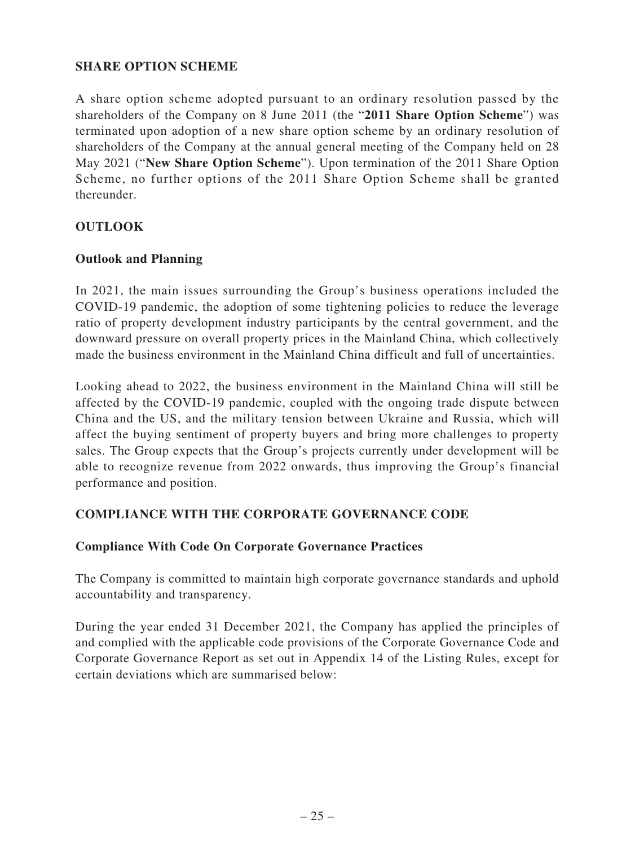### **SHARE OPTION SCHEME**

A share option scheme adopted pursuant to an ordinary resolution passed by the shareholders of the Company on 8 June 2011 (the "**2011 Share Option Scheme**") was terminated upon adoption of a new share option scheme by an ordinary resolution of shareholders of the Company at the annual general meeting of the Company held on 28 May 2021 ("**New Share Option Scheme**"). Upon termination of the 2011 Share Option Scheme, no further options of the 2011 Share Option Scheme shall be granted thereunder.

### **OUTLOOK**

### **Outlook and Planning**

In 2021, the main issues surrounding the Group's business operations included the COVID-19 pandemic, the adoption of some tightening policies to reduce the leverage ratio of property development industry participants by the central government, and the downward pressure on overall property prices in the Mainland China, which collectively made the business environment in the Mainland China difficult and full of uncertainties.

Looking ahead to 2022, the business environment in the Mainland China will still be affected by the COVID-19 pandemic, coupled with the ongoing trade dispute between China and the US, and the military tension between Ukraine and Russia, which will affect the buying sentiment of property buyers and bring more challenges to property sales. The Group expects that the Group's projects currently under development will be able to recognize revenue from 2022 onwards, thus improving the Group's financial performance and position.

### **COMPLIANCE WITH THE CORPORATE GOVERNANCE CODE**

### **Compliance With Code On Corporate Governance Practices**

The Company is committed to maintain high corporate governance standards and uphold accountability and transparency.

During the year ended 31 December 2021, the Company has applied the principles of and complied with the applicable code provisions of the Corporate Governance Code and Corporate Governance Report as set out in Appendix 14 of the Listing Rules, except for certain deviations which are summarised below: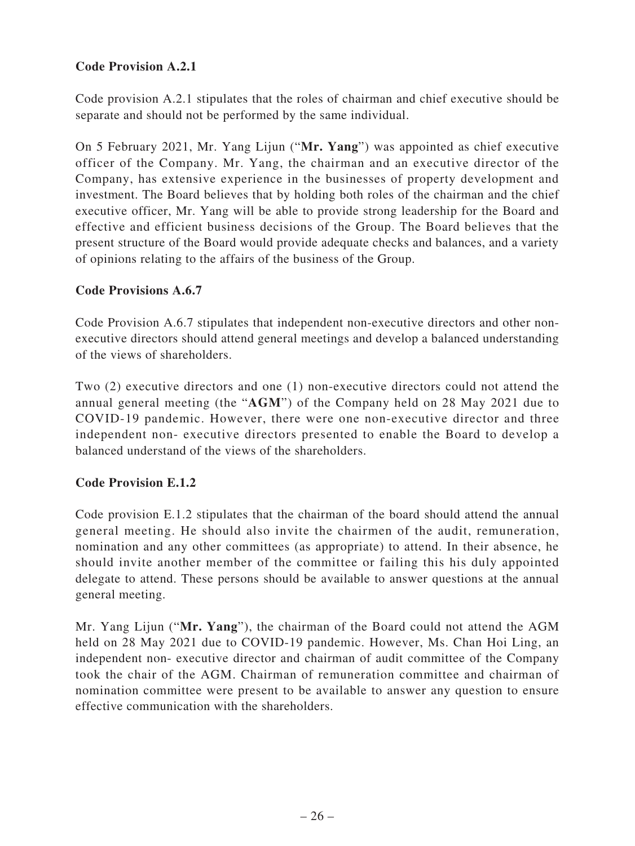# **Code Provision A.2.1**

Code provision A.2.1 stipulates that the roles of chairman and chief executive should be separate and should not be performed by the same individual.

On 5 February 2021, Mr. Yang Lijun ("**Mr. Yang**") was appointed as chief executive officer of the Company. Mr. Yang, the chairman and an executive director of the Company, has extensive experience in the businesses of property development and investment. The Board believes that by holding both roles of the chairman and the chief executive officer, Mr. Yang will be able to provide strong leadership for the Board and effective and efficient business decisions of the Group. The Board believes that the present structure of the Board would provide adequate checks and balances, and a variety of opinions relating to the affairs of the business of the Group.

### **Code Provisions A.6.7**

Code Provision A.6.7 stipulates that independent non-executive directors and other nonexecutive directors should attend general meetings and develop a balanced understanding of the views of shareholders.

Two (2) executive directors and one (1) non-executive directors could not attend the annual general meeting (the "**AGM**") of the Company held on 28 May 2021 due to COVID-19 pandemic. However, there were one non-executive director and three independent non- executive directors presented to enable the Board to develop a balanced understand of the views of the shareholders.

### **Code Provision E.1.2**

Code provision E.1.2 stipulates that the chairman of the board should attend the annual general meeting. He should also invite the chairmen of the audit, remuneration, nomination and any other committees (as appropriate) to attend. In their absence, he should invite another member of the committee or failing this his duly appointed delegate to attend. These persons should be available to answer questions at the annual general meeting.

Mr. Yang Lijun ("**Mr. Yang**"), the chairman of the Board could not attend the AGM held on 28 May 2021 due to COVID-19 pandemic. However, Ms. Chan Hoi Ling, an independent non- executive director and chairman of audit committee of the Company took the chair of the AGM. Chairman of remuneration committee and chairman of nomination committee were present to be available to answer any question to ensure effective communication with the shareholders.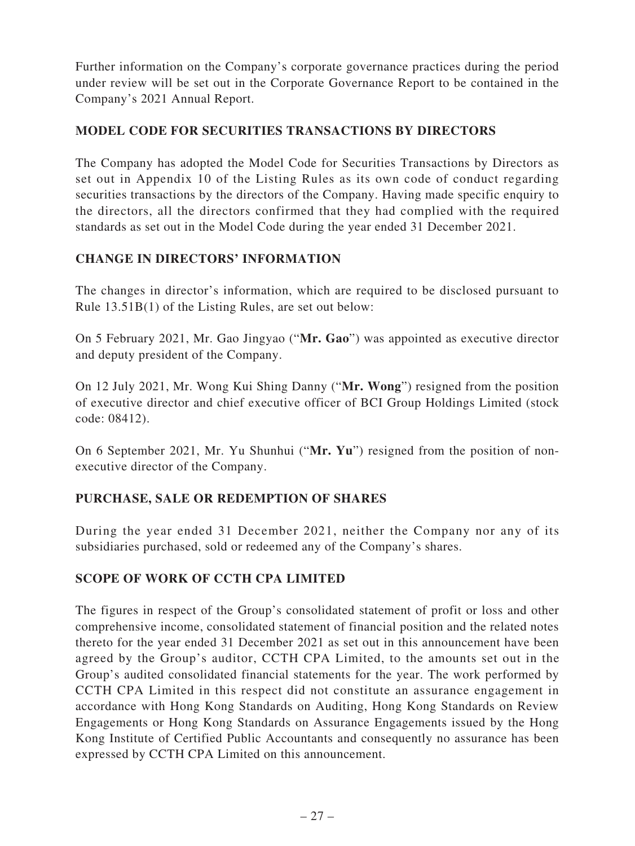Further information on the Company's corporate governance practices during the period under review will be set out in the Corporate Governance Report to be contained in the Company's 2021 Annual Report.

### **MODEL CODE FOR SECURITIES TRANSACTIONS BY DIRECTORS**

The Company has adopted the Model Code for Securities Transactions by Directors as set out in Appendix 10 of the Listing Rules as its own code of conduct regarding securities transactions by the directors of the Company. Having made specific enquiry to the directors, all the directors confirmed that they had complied with the required standards as set out in the Model Code during the year ended 31 December 2021.

### **CHANGE IN DIRECTORS' INFORMATION**

The changes in director's information, which are required to be disclosed pursuant to Rule 13.51B(1) of the Listing Rules, are set out below:

On 5 February 2021, Mr. Gao Jingyao ("**Mr. Gao**") was appointed as executive director and deputy president of the Company.

On 12 July 2021, Mr. Wong Kui Shing Danny ("**Mr. Wong**") resigned from the position of executive director and chief executive officer of BCI Group Holdings Limited (stock code: 08412).

On 6 September 2021, Mr. Yu Shunhui ("**Mr. Yu**") resigned from the position of nonexecutive director of the Company.

# **PURCHASE, SALE OR REDEMPTION OF SHARES**

During the year ended 31 December 2021, neither the Company nor any of its subsidiaries purchased, sold or redeemed any of the Company's shares.

### **SCOPE OF WORK OF CCTH CPA LIMITED**

The figures in respect of the Group's consolidated statement of profit or loss and other comprehensive income, consolidated statement of financial position and the related notes thereto for the year ended 31 December 2021 as set out in this announcement have been agreed by the Group's auditor, CCTH CPA Limited, to the amounts set out in the Group's audited consolidated financial statements for the year. The work performed by CCTH CPA Limited in this respect did not constitute an assurance engagement in accordance with Hong Kong Standards on Auditing, Hong Kong Standards on Review Engagements or Hong Kong Standards on Assurance Engagements issued by the Hong Kong Institute of Certified Public Accountants and consequently no assurance has been expressed by CCTH CPA Limited on this announcement.